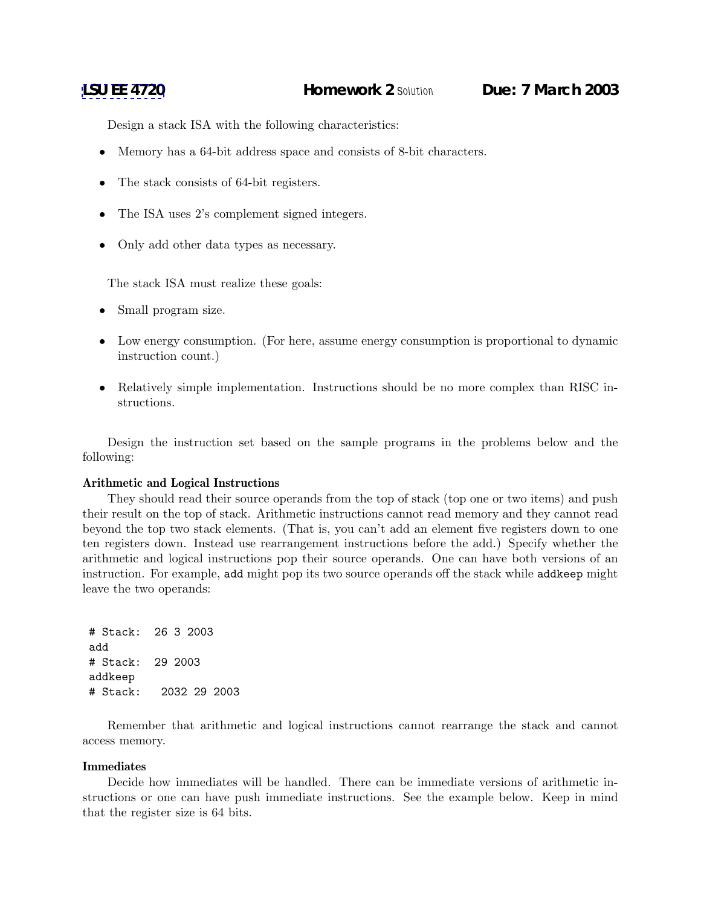Design a stack ISA with the following characteristics:

- Memory has a 64-bit address space and consists of 8-bit characters.
- The stack consists of 64-bit registers.
- The ISA uses 2's complement signed integers.
- Only add other data types as necessary.

The stack ISA must realize these goals:

- Small program size.
- Low energy consumption. (For here, assume energy consumption is proportional to dynamic instruction count.)
- Relatively simple implementation. Instructions should be no more complex than RISC instructions.

Design the instruction set based on the sample programs in the problems below and the following:

### **Arithmetic and Logical Instructions**

They should read their source operands from the top of stack (top one or two items) and push their result on the top of stack. Arithmetic instructions cannot read memory and they cannot read beyond the top two stack elements. (That is, you can't add an element five registers down to one ten registers down. Instead use rearrangement instructions before the add.) Specify whether the arithmetic and logical instructions pop their source operands. One can have both versions of an instruction. For example, add might pop its two source operands off the stack while addkeep might leave the two operands:

```
# Stack: 26 3 2003
add
# Stack: 29 2003
addkeep
# Stack: 2032 29 2003
```
Remember that arithmetic and logical instructions cannot rearrange the stack and cannot access memory.

#### **Immediates**

Decide how immediates will be handled. There can be immediate versions of arithmetic instructions or one can have push immediate instructions. See the example below. Keep in mind that the register size is 64 bits.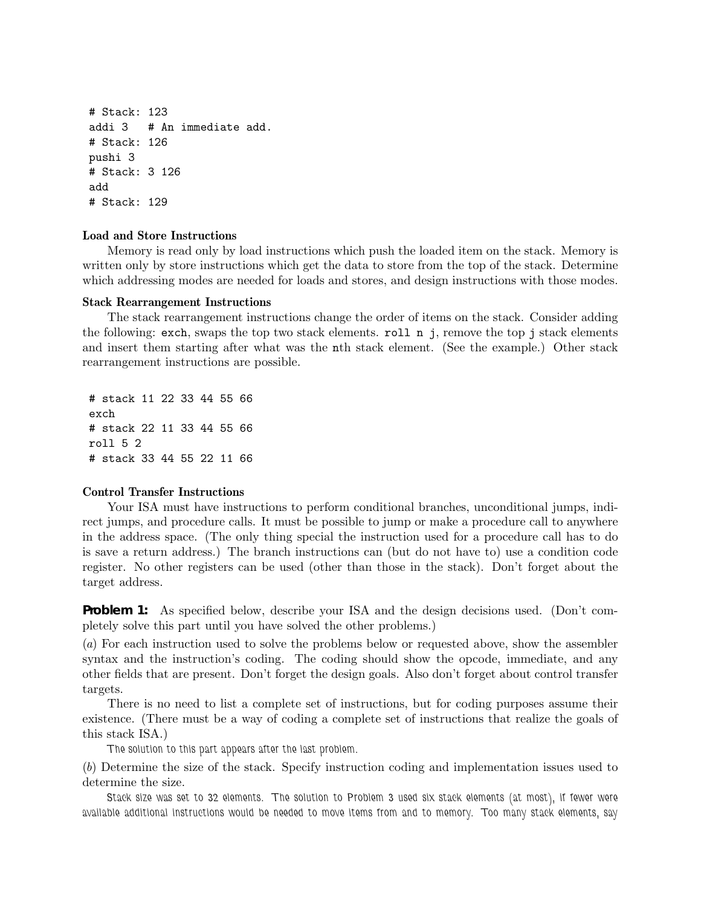# Stack: 123 addi 3 # An immediate add. # Stack: 126 pushi 3 # Stack: 3 126 add # Stack: 129

## **Load and Store Instructions**

Memory is read only by load instructions which push the loaded item on the stack. Memory is written only by store instructions which get the data to store from the top of the stack. Determine which addressing modes are needed for loads and stores, and design instructions with those modes.

### **Stack Rearrangement Instructions**

The stack rearrangement instructions change the order of items on the stack. Consider adding the following: exch, swaps the top two stack elements. roll n j, remove the top j stack elements and insert them starting after what was the nth stack element. (See the example.) Other stack rearrangement instructions are possible.

# stack 11 22 33 44 55 66 exch # stack 22 11 33 44 55 66 roll 5 2 # stack 33 44 55 22 11 66

# **Control Transfer Instructions**

Your ISA must have instructions to perform conditional branches, unconditional jumps, indirect jumps, and procedure calls. It must be possible to jump or make a procedure call to anywhere in the address space. (The only thing special the instruction used for a procedure call has to do is save a return address.) The branch instructions can (but do not have to) use a condition code register. No other registers can be used (other than those in the stack). Don't forget about the target address.

**Problem 1:** As specified below, describe your ISA and the design decisions used. (Don't completely solve this part until you have solved the other problems.)

(*a*) For each instruction used to solve the problems below or requested above, show the assembler syntax and the instruction's coding. The coding should show the opcode, immediate, and any other fields that are present. Don't forget the design goals. Also don't forget about control transfer targets.

There is no need to list a complete set of instructions, but for coding purposes assume their existence. (There must be a way of coding a complete set of instructions that realize the goals of this stack ISA.)

*The solution to this part appears after the last problem.*

(*b*) Determine the size of the stack. Specify instruction coding and implementation issues used to determine the size.

*Stack size was set to 32 elements. The solution to Problem 3 used six stack elements (at most), if fewer were available additional instructions would be needed to move items from and to memory. Too many stack elements, say*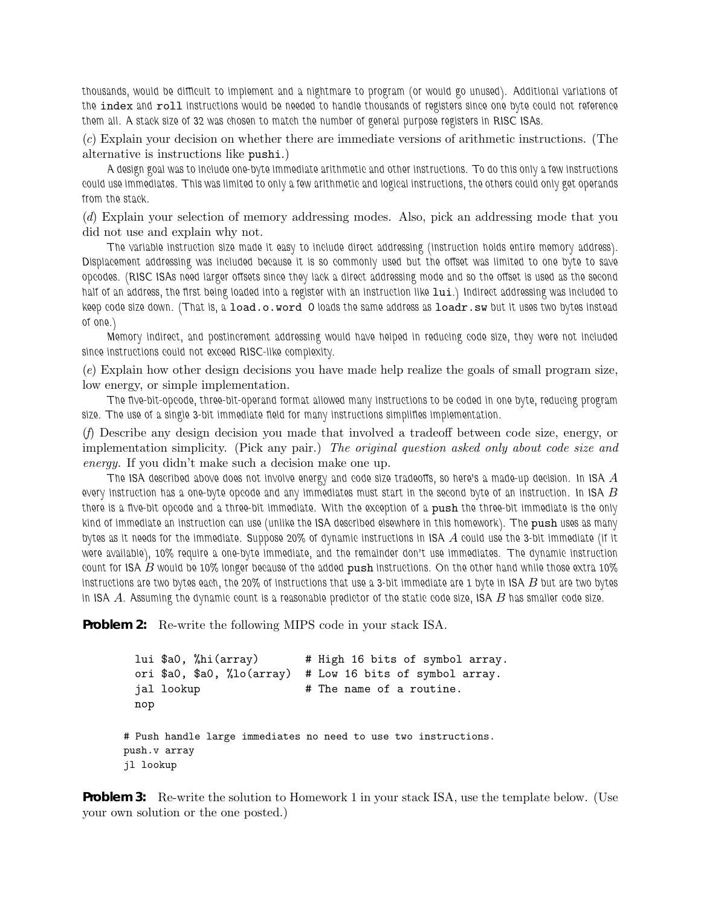*thousands, would be difficult to implement and a nightmare to program (or would go unused). Additional variations of the* index *and* roll *instructions would be needed to handle thousands of registers since one byte could not reference them all. A stack size of 32 was chosen to match the number of general purpose registers in RISC ISAs.*

(*c*) Explain your decision on whether there are immediate versions of arithmetic instructions. (The alternative is instructions like pushi.)

*A design goal was to include one-byte immediate arithmetic and other instructions. To do this only a few instructions could use immediates. This was limited to only a few arithmetic and logical instructions, the others could only get operands from the stack.*

(*d*) Explain your selection of memory addressing modes. Also, pick an addressing mode that you did not use and explain why not.

*The variable instruction size made it easy to include direct addressing (instruction holds entire memory address). Displacement addressing was included because it is so commonly used but the offset was limited to one byte to save opcodes. (RISC ISAs need larger offsets since they lack a direct addressing mode and so the offset is used as the second* half of an address, the first being loaded into a register with an instruction like  $\text{lui.}$ ) Indirect addressing was included to *keep code size down. (That is, a* load.o.word 0 *loads the same address as* loadr.sw *but it uses two bytes instead of one.)*

*Memory indirect, and postincrement addressing would have helped in reducing code size, they were not included since instructions could not exceed RISC-like complexity.*

(*e*) Explain how other design decisions you have made help realize the goals of small program size, low energy, or simple implementation.

*The five-bit-opcode, three-bit-operand format allowed many instructions to be coded in one byte, reducing program size. The use of a single 3-bit immediate field for many instructions simplifies implementation.*

(*f*) Describe any design decision you made that involved a tradeoff between code size, energy, or implementation simplicity. (Pick any pair.) *The original question asked only about code size and energy.* If you didn't make such a decision make one up.

*The ISA described above does not involve energy and code size tradeoffs, so here's a made-up decision. In ISA* A *every instruction has a one-byte opcode and any immediates must start in the second byte of an instruction. In ISA* B *there is a five-bit opcode and a three-bit immediate. With the exception of a* push *the three-bit immediate is the only kind of immediate an instruction can use (unlike the ISA described elsewhere in this homework). The* push *uses as many bytes as it needs for the immediate. Suppose 20% of dynamic instructions in ISA* A *could use the 3-bit immediate (if it were available), 10% require a one-byte immediate, and the remainder don't use immediates. The dynamic instruction count for ISA* B *would be 10% longer because of the added* push *instructions. On the other hand while those extra 10% instructions are two bytes each, the 20% of instructions that use a 3-bit immediate are 1 byte in ISA* B *but are two bytes in ISA* A*. Assuming the dynamic count is a reasonable predictor of the static code size, ISA* B *has smaller code size.*

**Problem 2:** Re-write the following MIPS code in your stack ISA.

```
lui $a0, %hi(array) # High 16 bits of symbol array.
 ori $a0, $a0, %lo(array) # Low 16 bits of symbol array.
 jal lookup # The name of a routine.
 nop
# Push handle large immediates no need to use two instructions.
push.v array
jl lookup
```
**Problem 3:** Re-write the solution to Homework 1 in your stack ISA, use the template below. (Use your own solution or the one posted.)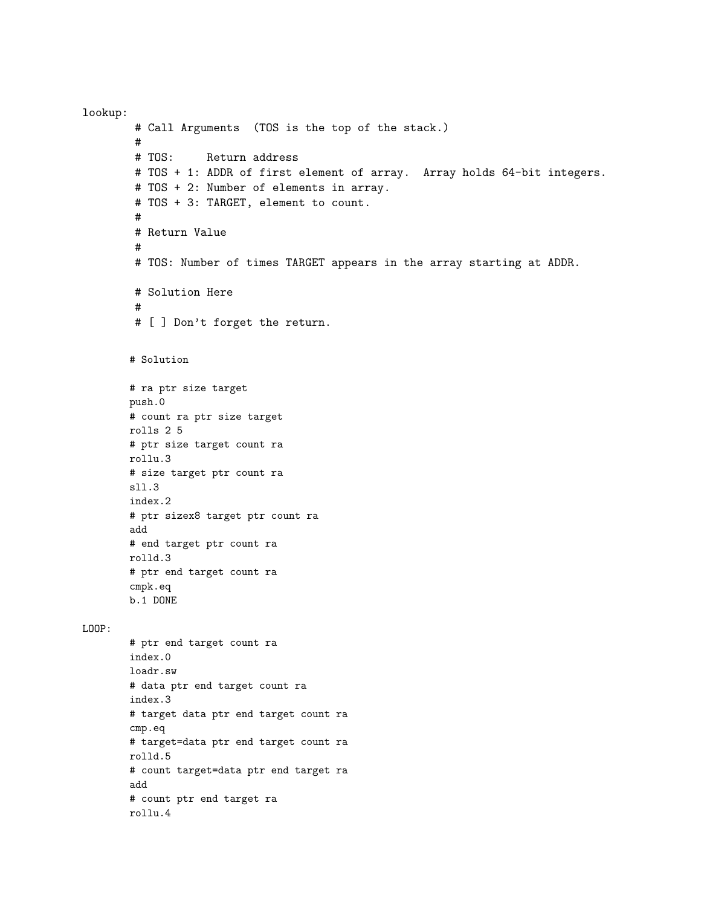lookup: # Call Arguments (TOS is the top of the stack.) # # TOS: Return address # TOS + 1: ADDR of first element of array. Array holds 64-bit integers. # TOS + 2: Number of elements in array. # TOS + 3: TARGET, element to count. # # Return Value # # TOS: Number of times TARGET appears in the array starting at ADDR. # Solution Here # # [ ] Don't forget the return. # Solution # ra ptr size target push.0 # count ra ptr size target rolls 2 5 # ptr size target count ra rollu.3 # size target ptr count ra sll.3 index.2 # ptr sizex8 target ptr count ra add # end target ptr count ra rolld.3 # ptr end target count ra cmpk.eq b.1 DONE LOOP: # ptr end target count ra index.0 loadr.sw # data ptr end target count ra index.3 # target data ptr end target count ra cmp.eq # target=data ptr end target count ra rolld.5 # count target=data ptr end target ra add # count ptr end target ra rollu.4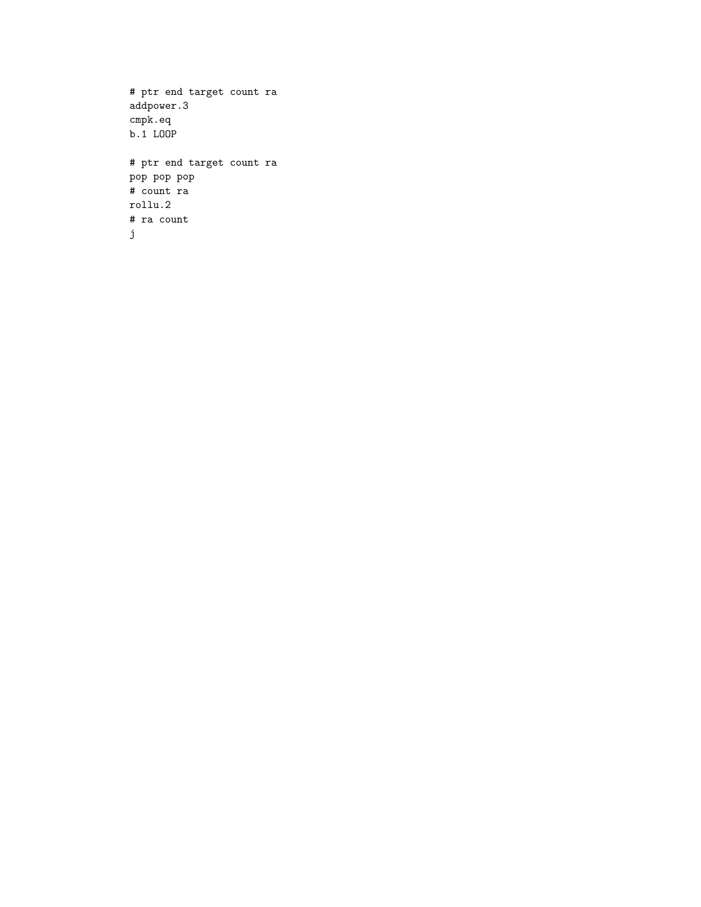```
# ptr end target count ra
addpower.3
cmpk.eq
b.1 LOOP
# ptr end target count ra
pop pop pop
# count ra
rollu.2
# ra count
j
```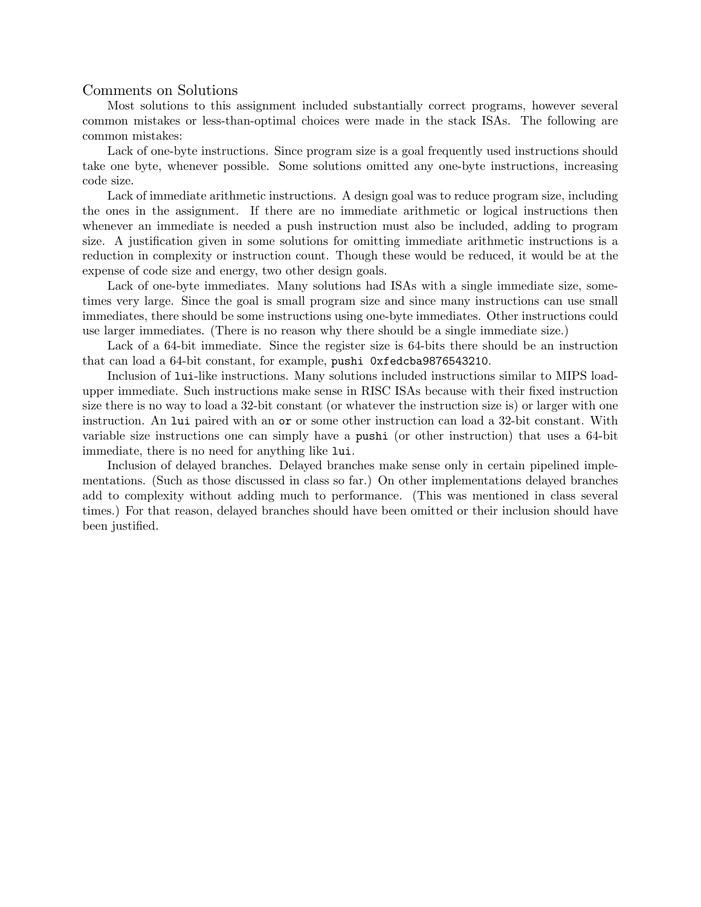# Comments on Solutions

Most solutions to this assignment included substantially correct programs, however several common mistakes or less-than-optimal choices were made in the stack ISAs. The following are common mistakes:

Lack of one-byte instructions. Since program size is a goal frequently used instructions should take one byte, whenever possible. Some solutions omitted any one-byte instructions, increasing code size.

Lack of immediate arithmetic instructions. A design goal was to reduce program size, including the ones in the assignment. If there are no immediate arithmetic or logical instructions then whenever an immediate is needed a push instruction must also be included, adding to program size. A justification given in some solutions for omitting immediate arithmetic instructions is a reduction in complexity or instruction count. Though these would be reduced, it would be at the expense of code size and energy, two other design goals.

Lack of one-byte immediates. Many solutions had ISAs with a single immediate size, sometimes very large. Since the goal is small program size and since many instructions can use small immediates, there should be some instructions using one-byte immediates. Other instructions could use larger immediates. (There is no reason why there should be a single immediate size.)

Lack of a 64-bit immediate. Since the register size is 64-bits there should be an instruction that can load a 64-bit constant, for example, pushi 0xfedcba9876543210.

Inclusion of lui-like instructions. Many solutions included instructions similar to MIPS loadupper immediate. Such instructions make sense in RISC ISAs because with their fixed instruction size there is no way to load a 32-bit constant (or whatever the instruction size is) or larger with one instruction. An lui paired with an or or some other instruction can load a 32-bit constant. With variable size instructions one can simply have a pushi (or other instruction) that uses a 64-bit immediate, there is no need for anything like lui.

Inclusion of delayed branches. Delayed branches make sense only in certain pipelined implementations. (Such as those discussed in class so far.) On other implementations delayed branches add to complexity without adding much to performance. (This was mentioned in class several times.) For that reason, delayed branches should have been omitted or their inclusion should have been justified.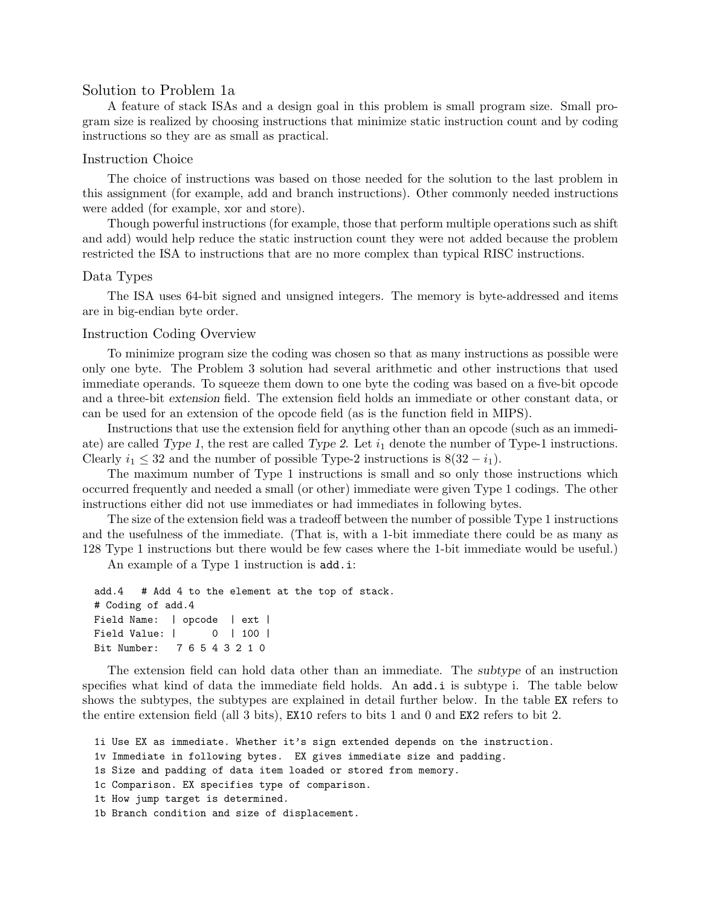# Solution to Problem 1a

A feature of stack ISAs and a design goal in this problem is small program size. Small program size is realized by choosing instructions that minimize static instruction count and by coding instructions so they are as small as practical.

## Instruction Choice

The choice of instructions was based on those needed for the solution to the last problem in this assignment (for example, add and branch instructions). Other commonly needed instructions were added (for example, xor and store).

Though powerful instructions (for example, those that perform multiple operations such as shift and add) would help reduce the static instruction count they were not added because the problem restricted the ISA to instructions that are no more complex than typical RISC instructions.

## Data Types

The ISA uses 64-bit signed and unsigned integers. The memory is byte-addressed and items are in big-endian byte order.

### Instruction Coding Overview

To minimize program size the coding was chosen so that as many instructions as possible were only one byte. The Problem 3 solution had several arithmetic and other instructions that used immediate operands. To squeeze them down to one byte the coding was based on a five-bit opcode and a three-bit extension field. The extension field holds an immediate or other constant data, or can be used for an extension of the opcode field (as is the function field in MIPS).

Instructions that use the extension field for anything other than an opcode (such as an immediate) are called Type 1, the rest are called Type 2. Let  $i_1$  denote the number of Type-1 instructions. Clearly  $i_1 \leq 32$  and the number of possible Type-2 instructions is  $8(32 - i_1)$ .

The maximum number of Type 1 instructions is small and so only those instructions which occurred frequently and needed a small (or other) immediate were given Type 1 codings. The other instructions either did not use immediates or had immediates in following bytes.

The size of the extension field was a tradeoff between the number of possible Type 1 instructions and the usefulness of the immediate. (That is, with a 1-bit immediate there could be as many as 128 Type 1 instructions but there would be few cases where the 1-bit immediate would be useful.)

An example of a Type 1 instruction is  $add.i$ :

```
add.4 # Add 4 to the element at the top of stack.
# Coding of add.4
Field Name: | opcode | ext |
Field Value: | 0 | 100 |
Bit Number: 7 6 5 4 3 2 1 0
```
The extension field can hold data other than an immediate. The subtype of an instruction specifies what kind of data the immediate field holds. An add.i is subtype i. The table below shows the subtypes, the subtypes are explained in detail further below. In the table EX refers to the entire extension field (all 3 bits), EX10 refers to bits 1 and 0 and EX2 refers to bit 2.

```
1i Use EX as immediate. Whether it's sign extended depends on the instruction.
```
- 1v Immediate in following bytes. EX gives immediate size and padding.
- 1s Size and padding of data item loaded or stored from memory.
- 1c Comparison. EX specifies type of comparison.
- 1t How jump target is determined.
- 1b Branch condition and size of displacement.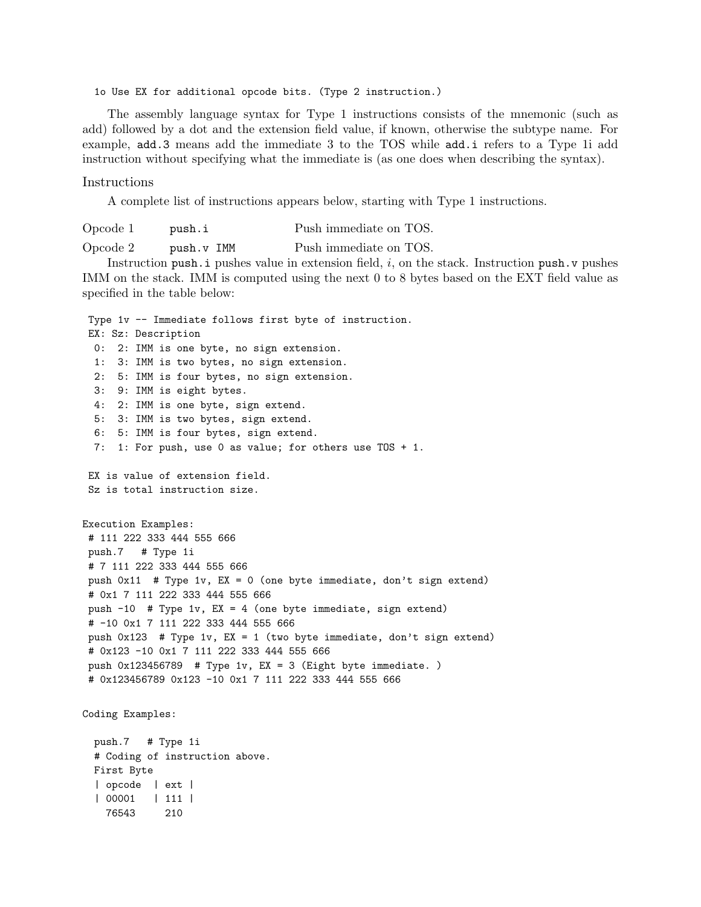1o Use EX for additional opcode bits. (Type 2 instruction.)

The assembly language syntax for Type 1 instructions consists of the mnemonic (such as add) followed by a dot and the extension field value, if known, otherwise the subtype name. For example, add.3 means add the immediate 3 to the TOS while add.i refers to a Type 1i add instruction without specifying what the immediate is (as one does when describing the syntax).

#### Instructions

A complete list of instructions appears below, starting with Type 1 instructions.

Opcode 1 push.i Push immediate on TOS. Opcode 2 push.v IMM Push immediate on TOS.

Instruction push. i pushes value in extension field,  $i$ , on the stack. Instruction push. v pushes IMM on the stack. IMM is computed using the next 0 to 8 bytes based on the EXT field value as specified in the table below:

Type 1v -- Immediate follows first byte of instruction. EX: Sz: Description 0: 2: IMM is one byte, no sign extension. 1: 3: IMM is two bytes, no sign extension. 2: 5: IMM is four bytes, no sign extension. 3: 9: IMM is eight bytes. 4: 2: IMM is one byte, sign extend. 5: 3: IMM is two bytes, sign extend. 6: 5: IMM is four bytes, sign extend. 7: 1: For push, use 0 as value; for others use TOS + 1. EX is value of extension field. Sz is total instruction size. Execution Examples: # 111 222 333 444 555 666 push.7 # Type 1i # 7 111 222 333 444 555 666 push 0x11 # Type 1v, EX = 0 (one byte immediate, don't sign extend) # 0x1 7 111 222 333 444 555 666 push -10 # Type 1v, EX = 4 (one byte immediate, sign extend) # -10 0x1 7 111 222 333 444 555 666 push 0x123 # Type 1v, EX = 1 (two byte immediate, don't sign extend) # 0x123 -10 0x1 7 111 222 333 444 555 666 push 0x123456789 # Type 1v, EX = 3 (Eight byte immediate. ) # 0x123456789 0x123 -10 0x1 7 111 222 333 444 555 666 Coding Examples: push.7 # Type 1i # Coding of instruction above.

First Byte | opcode | ext | | 00001 | 111 | 76543 210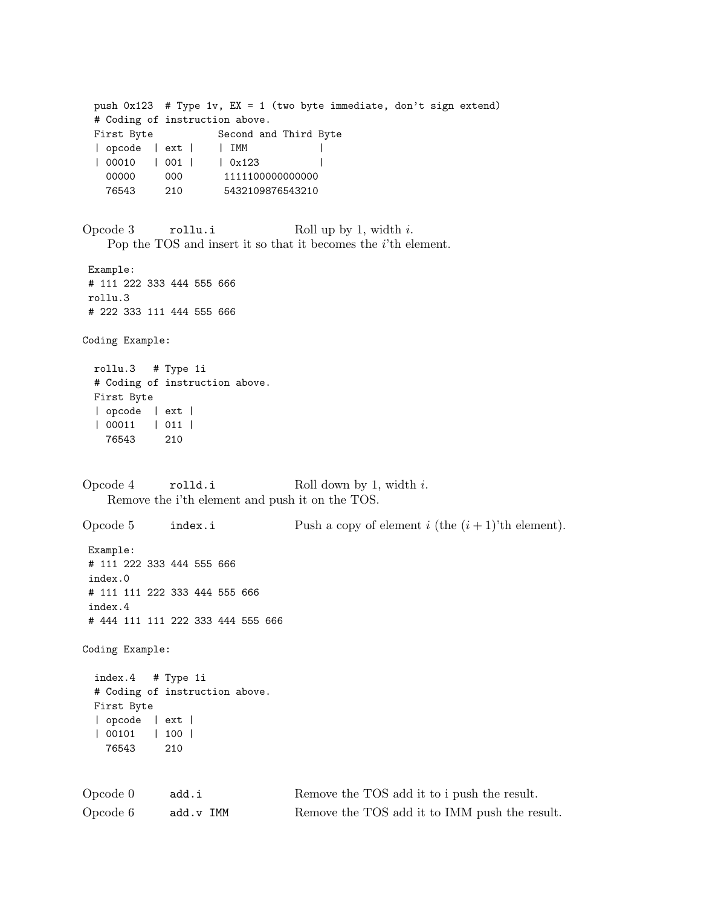push 0x123 # Type 1v, EX = 1 (two byte immediate, don't sign extend) # Coding of instruction above. First Byte Second and Third Byte | opcode | ext | | IMM | | | 00010 | 001 | | 0x123 | 00000 000 1111100000000000 76543 210 5432109876543210 Opcode 3 rollu.i Roll up by 1, width i. Pop the TOS and insert it so that it becomes the i'th element. Example: # 111 222 333 444 555 666 rollu.3 # 222 333 111 444 555 666 Coding Example: rollu.3 # Type 1i # Coding of instruction above. First Byte | opcode | ext | | 00011 | 011 | 76543 210 Opcode 4 rolld.i Roll down by 1, width i. Remove the i'th element and push it on the TOS. Opcode 5 index.i Push a copy of element i (the  $(i + 1)$ 'th element). Example: # 111 222 333 444 555 666 index.0 # 111 111 222 333 444 555 666 index.4 # 444 111 111 222 333 444 555 666 Coding Example: index.4 # Type 1i # Coding of instruction above. First Byte | opcode | ext | | 00101 | 100 | 76543 210 Opcode 0 add.i Remove the TOS add it to i push the result. Opcode 6 add.v IMM Remove the TOS add it to IMM push the result.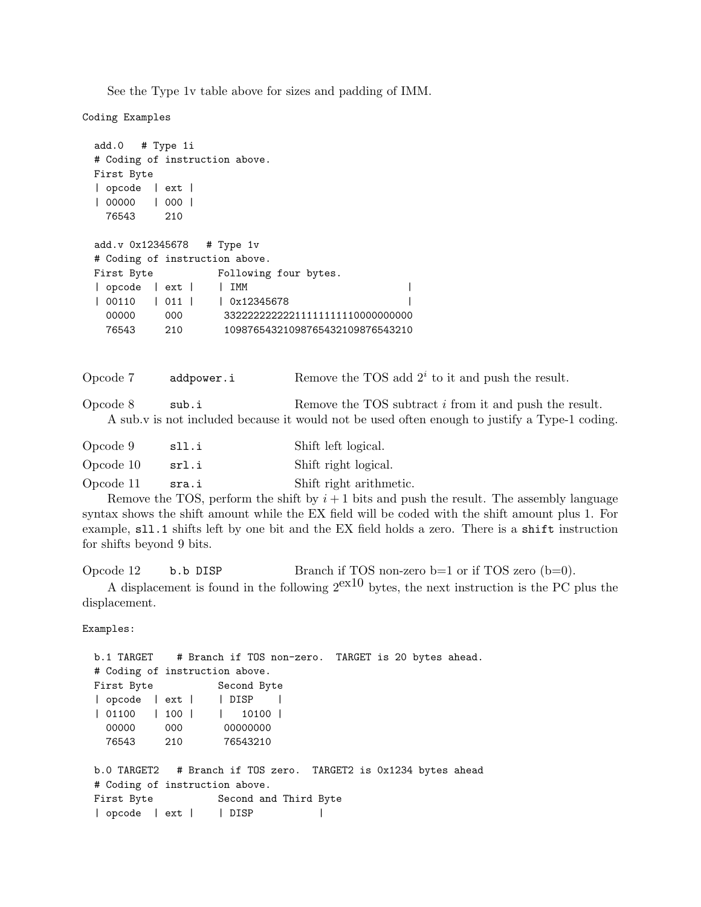See the Type 1v table above for sizes and padding of IMM.

Coding Examples

```
add.0 # Type 1i
# Coding of instruction above.
First Byte
| opcode | ext |
| 00000 | 000 |
 76543 210
add.v 0x12345678 # Type 1v
# Coding of instruction above.
First Byte Following four bytes.
| opcode | ext | | IMM |
| 00110 | 011 | | 0x12345678 |
 00000 000 33222222222211111111110000000000
 76543 210 10987654321098765432109876543210
```
Opcode 7 addpower.i Remove the TOS add  $2^i$  to it and push the result.

Opcode 8 sub.i Remove the TOS subtract i from it and push the result. A sub.v is not included because it would not be used often enough to justify a Type-1 coding.

| Opcode 9  | sll.i | Shift left logical.     |
|-----------|-------|-------------------------|
| Opcode 10 | srl.i | Shift right logical.    |
| Opcode 11 | sra.i | Shift right arithmetic. |

Remove the TOS, perform the shift by  $i+1$  bits and push the result. The assembly language syntax shows the shift amount while the EX field will be coded with the shift amount plus 1. For example, sll.1 shifts left by one bit and the EX field holds a zero. There is a shift instruction for shifts beyond 9 bits.

Opcode 12 b.b DISP Branch if TOS non-zero b=1 or if TOS zero (b=0).

A displacement is found in the following  $2^{ex10}$  bytes, the next instruction is the PC plus the displacement.

Examples:

```
b.1 TARGET # Branch if TOS non-zero. TARGET is 20 bytes ahead.
# Coding of instruction above.
First Byte Second Byte
| opcode | ext | | DISP |
| 01100 | 100 | | 10100 |
 00000 000 00000000
 76543 210 76543210
b.0 TARGET2 # Branch if TOS zero. TARGET2 is 0x1234 bytes ahead
# Coding of instruction above.
First Byte Second and Third Byte
| opcode | ext | | DISP |
```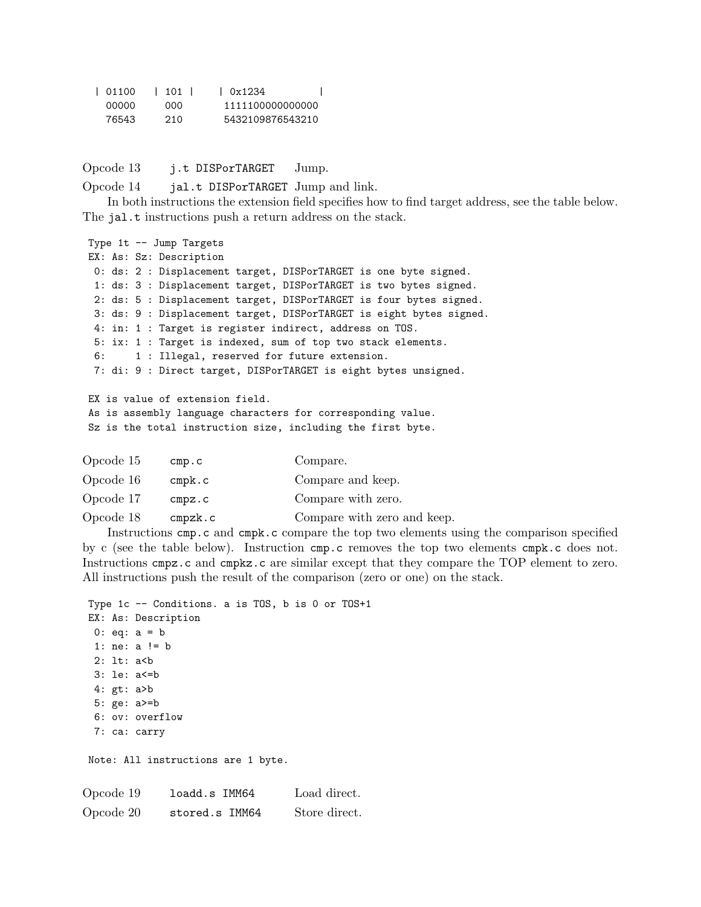| 101100 | 101 | 10x1234          |
|--------|-----|------------------|
| 00000  | 000 | 1111100000000000 |
| 76543  | 210 | 5432109876543210 |

Opcode 13 j.t DISPorTARGET Jump.

Opcode 14 jal.t DISPorTARGET Jump and link.

In both instructions the extension field specifies how to find target address, see the table below. The jal.t instructions push a return address on the stack.

Type 1t -- Jump Targets EX: As: Sz: Description 0: ds: 2 : Displacement target, DISPorTARGET is one byte signed. 1: ds: 3 : Displacement target, DISPorTARGET is two bytes signed. 2: ds: 5 : Displacement target, DISPorTARGET is four bytes signed. 3: ds: 9 : Displacement target, DISPorTARGET is eight bytes signed. 4: in: 1 : Target is register indirect, address on TOS. 5: ix: 1 : Target is indexed, sum of top two stack elements. 6: 1 : Illegal, reserved for future extension. 7: di: 9 : Direct target, DISPorTARGET is eight bytes unsigned. EX is value of extension field. As is assembly language characters for corresponding value. Sz is the total instruction size, including the first byte.

| Opcode 15 | cmp.c              | Compare.                    |
|-----------|--------------------|-----------------------------|
| Opcode 16 | $\texttt{cmpk.c}$  | Compare and keep.           |
| Opcode 17 | cmpz.c             | Compare with zero.          |
| Opcode 18 | $\mathtt{cmpzk.c}$ | Compare with zero and keep. |

Instructions cmp.c and cmpk.c compare the top two elements using the comparison specified by c (see the table below). Instruction cmp.c removes the top two elements cmpk.c does not. Instructions cmpz.c and cmpkz.c are similar except that they compare the TOP element to zero. All instructions push the result of the comparison (zero or one) on the stack.

```
Type 1c -- Conditions. a is TOS, b is 0 or TOS+1
EX: As: Description
 0: eq: a = b1: ne: a != b
 2: lt: a<b
 3: le: a<=b
 4: gt: a>b
 5: ge: a>=b
 6: ov: overflow
 7: ca: carry
Note: All instructions are 1 byte.
Opcode 19 loadd.s IMM64 Load direct.
Opcode 20 stored.s IMM64 Store direct.
```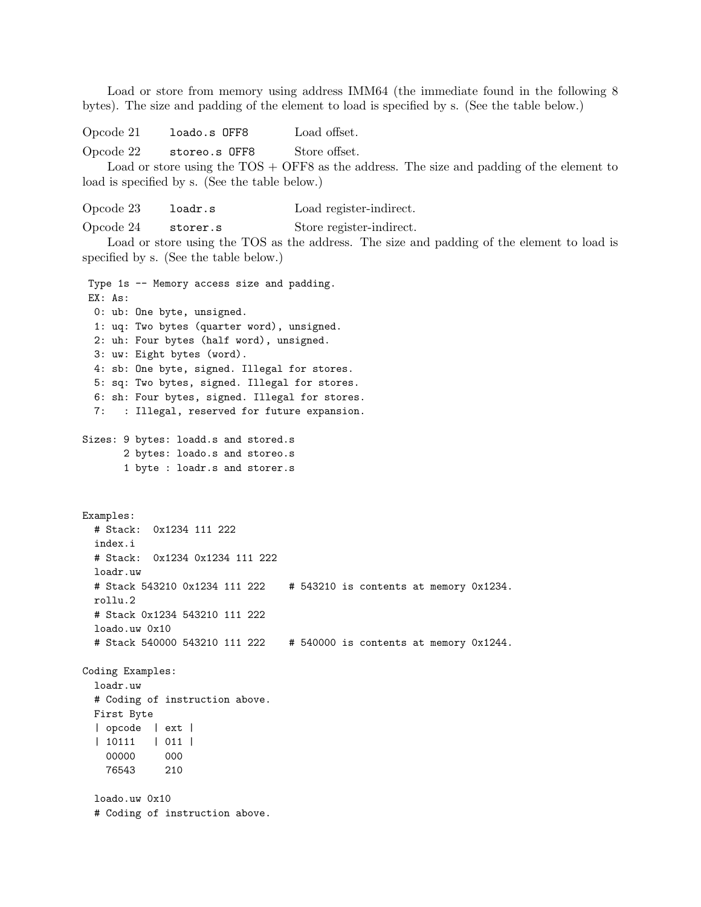Load or store from memory using address IMM64 (the immediate found in the following 8 bytes). The size and padding of the element to load is specified by s. (See the table below.)

Opcode 21 loado.s OFF8 Load offset.

Opcode 22 storeo.s OFF8 Store offset.

Load or store using the TOS + OFF8 as the address. The size and padding of the element to load is specified by s. (See the table below.)

Opcode 23 loadr.s Load register-indirect. Opcode 24 storer.s Store register-indirect.

Load or store using the TOS as the address. The size and padding of the element to load is specified by s. (See the table below.)

Type 1s -- Memory access size and padding. EX: As: 0: ub: One byte, unsigned. 1: uq: Two bytes (quarter word), unsigned. 2: uh: Four bytes (half word), unsigned. 3: uw: Eight bytes (word). 4: sb: One byte, signed. Illegal for stores. 5: sq: Two bytes, signed. Illegal for stores. 6: sh: Four bytes, signed. Illegal for stores. 7: : Illegal, reserved for future expansion. Sizes: 9 bytes: loadd.s and stored.s 2 bytes: loado.s and storeo.s 1 byte : loadr.s and storer.s Examples: # Stack: 0x1234 111 222 index.i # Stack: 0x1234 0x1234 111 222 loadr.uw # Stack 543210 0x1234 111 222 # 543210 is contents at memory 0x1234. rollu.2 # Stack 0x1234 543210 111 222 loado.uw 0x10 # Stack 540000 543210 111 222 # 540000 is contents at memory 0x1244. Coding Examples: loadr.uw # Coding of instruction above. First Byte | opcode | ext | | 10111 | 011 | 00000 000 76543 210 loado.uw 0x10 # Coding of instruction above.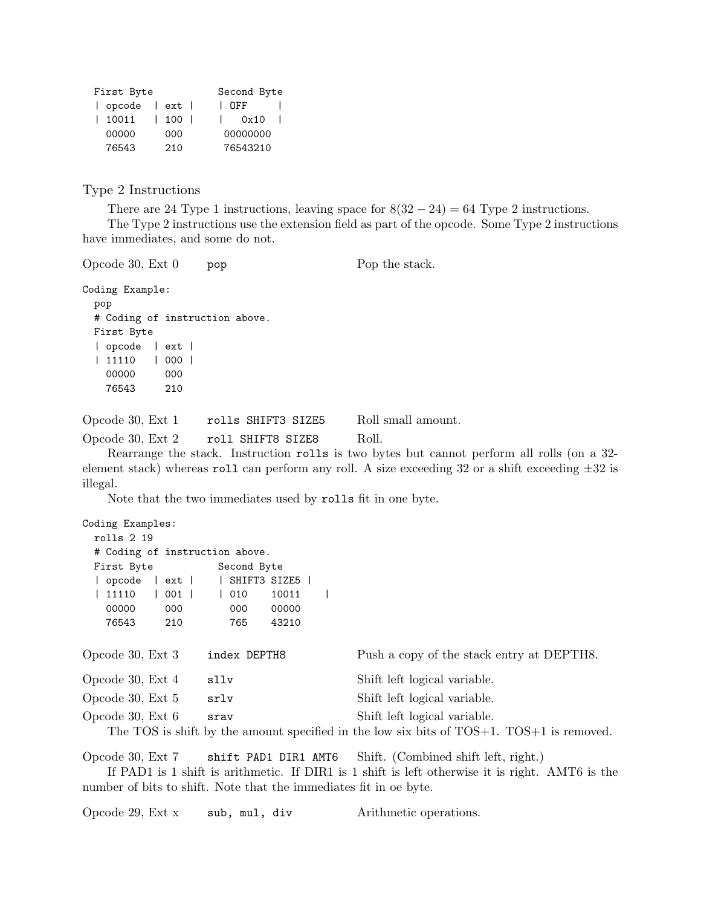| First Byte   | Second Byte         |  |          |  |
|--------------|---------------------|--|----------|--|
| opcode   ext |                     |  | I OFF    |  |
| 10011        | $\vert$ 100 $\vert$ |  | 0x10     |  |
| 00000        | 000                 |  | 00000000 |  |
| 76543        | 210                 |  | 76543210 |  |

Type 2 Instructions

There are 24 Type 1 instructions, leaving space for  $8(32 - 24) = 64$  Type 2 instructions. The Type 2 instructions use the extension field as part of the opcode. Some Type 2 instructions have immediates, and some do not.

Opcode 30, Ext 0 pop Pop Pop the stack.

```
Coding Example:
```

```
pop
# Coding of instruction above.
First Byte
| opcode | ext |
| 11110 | 000 |
 00000 000
 76543 210
```
Opcode 30, Ext 1 rolls SHIFT3 SIZE5 Roll small amount. Opcode 30, Ext 2 roll SHIFT8 SIZE8 Roll.

Rearrange the stack. Instruction rolls is two bytes but cannot perform all rolls (on a 32 element stack) whereas roll can perform any roll. A size exceeding 32 or a shift exceeding  $\pm 32$  is illegal.

Note that the two immediates used by rolls fit in one byte.

```
Coding Examples:
 rolls 2 19
 # Coding of instruction above.
 First Byte Second Byte
 | opcode | ext | | SHIFT3 SIZE5 |
 | 11110 | 001 | | 010 10011 |
   00000 000 000 00000
   76543 210 765 43210
Opcode 30, Ext 3 index DEPTH8 Push a copy of the stack entry at DEPTH8.
Opcode 30, Ext 4 sllv Shift left logical variable.
Opcode 30, Ext 5 srlv Shift left logical variable.
Opcode 30, Ext 6 srav Shift left logical variable.
   The TOS is shift by the amount specified in the low six bits of TOS+1. TOS+1 is removed.
```
Opcode 30, Ext 7 shift PAD1 DIR1 AMT6 Shift. (Combined shift left, right.)

If PAD1 is 1 shift is arithmetic. If DIR1 is 1 shift is left otherwise it is right. AMT6 is the number of bits to shift. Note that the immediates fit in oe byte.

Opcode 29, Ext x sub, mul, div Arithmetic operations.